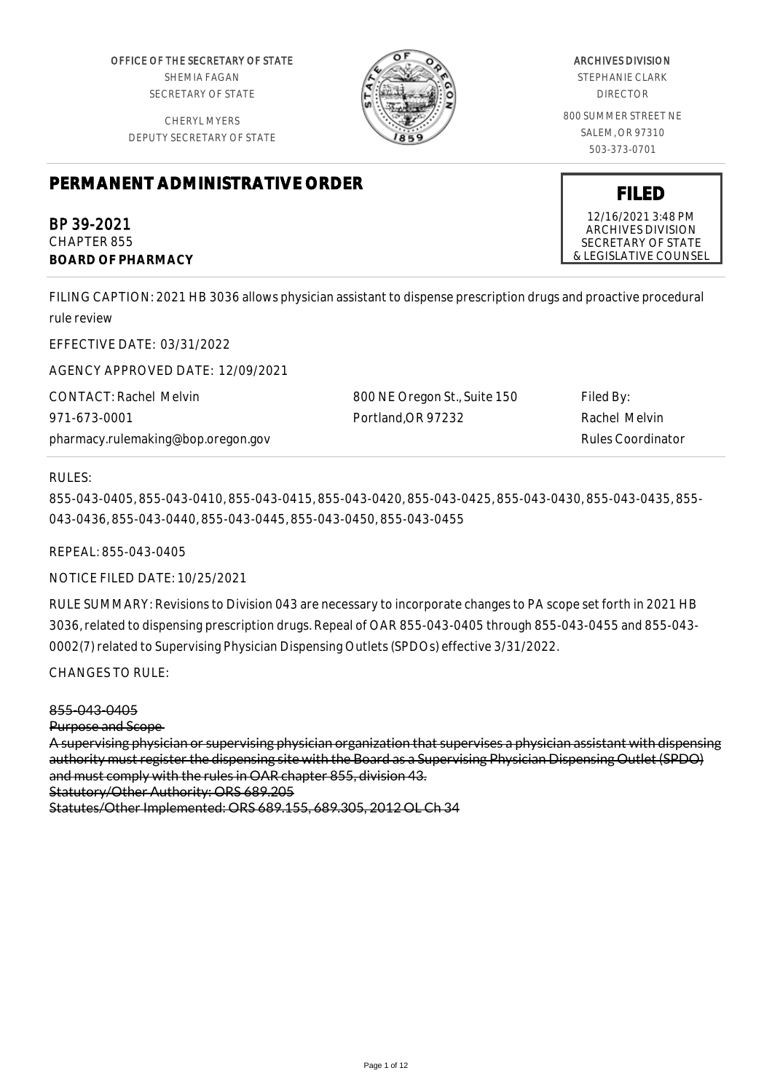OFFICE OF THE SECRETARY OF STATE SHEMIA FAGAN SECRETARY OF STATE

CHERYL MYERS DEPUTY SECRETARY OF STATE



# ARCHIVES DIVISION

STEPHANIE CLARK DIRECTOR

800 SUMMER STREET NE SALEM, OR 97310 503-373-0701

**FILED** 12/16/2021 3:48 PM ARCHIVES DIVISION SECRETARY OF STATE & LEGISLATIVE COUNSEL

# **PERMANENT ADMINISTRATIVE ORDER**

BP 39-2021 CHAPTER 855 **BOARD OF PHARMACY**

FILING CAPTION: 2021 HB 3036 allows physician assistant to dispense prescription drugs and proactive procedural rule review

EFFECTIVE DATE: 03/31/2022

AGENCY APPROVED DATE: 12/09/2021

CONTACT: Rachel Melvin 971-673-0001 pharmacy.rulemaking@bop.oregon.gov 800 NE Oregon St., Suite 150 Portland,OR 97232 Filed By:

Rachel Melvin Rules Coordinator

#### RULES:

855-043-0405, 855-043-0410, 855-043-0415, 855-043-0420, 855-043-0425, 855-043-0430, 855-043-0435, 855- 043-0436, 855-043-0440, 855-043-0445, 855-043-0450, 855-043-0455

REPEAL: 855-043-0405

NOTICE FILED DATE: 10/25/2021

RULE SUMMARY: Revisions to Division 043 are necessary to incorporate changes to PA scope set forth in 2021 HB 3036, related to dispensing prescription drugs. Repeal of OAR 855-043-0405 through 855-043-0455 and 855-043- 0002(7) related to Supervising Physician Dispensing Outlets (SPDOs) effective 3/31/2022.

CHANGES TO RULE:

855-043-0405

Purpose and Scope

A supervising physician or supervising physician organization that supervises a physician assistant with dispensing authority must register the dispensing site with the Board as a Supervising Physician Dispensing Outlet (SPDO) and must comply with the rules in OAR chapter 855, division 43. Statutory/Other Authority: ORS 689.205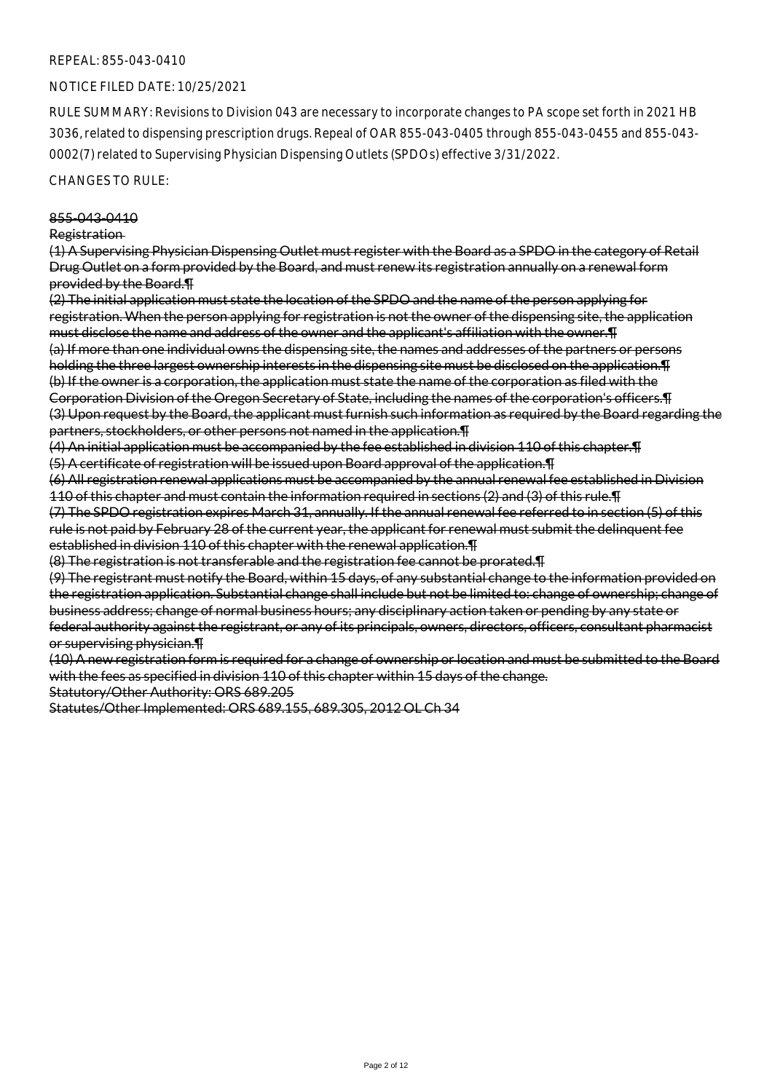#### NOTICE FILED DATE: 10/25/2021

RULE SUMMARY: Revisions to Division 043 are necessary to incorporate changes to PA scope set forth in 2021 HB 3036, related to dispensing prescription drugs. Repeal of OAR 855-043-0405 through 855-043-0455 and 855-043- 0002(7) related to Supervising Physician Dispensing Outlets (SPDOs) effective 3/31/2022.

## CHANGES TO RULE:

#### 855-043-0410

#### Registration

(1) A Supervising Physician Dispensing Outlet must register with the Board as a SPDO in the category of Retail Drug Outlet on a form provided by the Board, and must renew its registration annually on a renewal form provided by the Board.¶

(2) The initial application must state the location of the SPDO and the name of the person applying for registration. When the person applying for registration is not the owner of the dispensing site, the application must disclose the name and address of the owner and the applicant's affiliation with the owner.¶ (a) If more than one individual owns the dispensing site, the names and addresses of the partners or persons holding the three largest ownership interests in the dispensing site must be disclosed on the application.¶ (b) If the owner is a corporation, the application must state the name of the corporation as filed with the Corporation Division of the Oregon Secretary of State, including the names of the corporation's officers.¶ (3) Upon request by the Board, the applicant must furnish such information as required by the Board regarding the partners, stockholders, or other persons not named in the application.¶

(4) An initial application must be accompanied by the fee established in division 110 of this chapter.¶ (5) A certificate of registration will be issued upon Board approval of the application.¶

(6) All registration renewal applications must be accompanied by the annual renewal fee established in Division 110 of this chapter and must contain the information required in sections (2) and (3) of this rule.¶

(7) The SPDO registration expires March 31, annually. If the annual renewal fee referred to in section (5) of this rule is not paid by February 28 of the current year, the applicant for renewal must submit the delinquent fee established in division 110 of this chapter with the renewal application.¶

(8) The registration is not transferable and the registration fee cannot be prorated.¶

(9) The registrant must notify the Board, within 15 days, of any substantial change to the information provided on the registration application. Substantial change shall include but not be limited to: change of ownership; change of business address; change of normal business hours; any disciplinary action taken or pending by any state or federal authority against the registrant, or any of its principals, owners, directors, officers, consultant pharmacist or supervising physician.¶

(10) A new registration form is required for a change of ownership or location and must be submitted to the Board with the fees as specified in division 110 of this chapter within 15 days of the change.

Statutory/Other Authority: ORS 689.205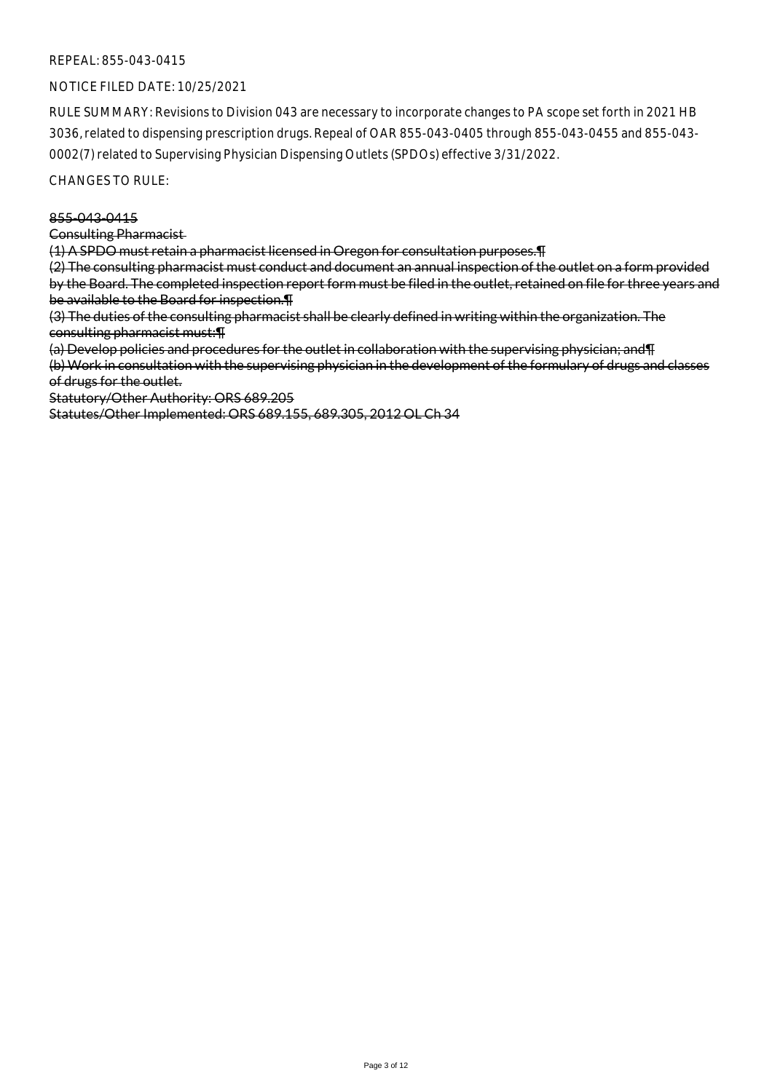## NOTICE FILED DATE: 10/25/2021

RULE SUMMARY: Revisions to Division 043 are necessary to incorporate changes to PA scope set forth in 2021 HB 3036, related to dispensing prescription drugs. Repeal of OAR 855-043-0405 through 855-043-0455 and 855-043- 0002(7) related to Supervising Physician Dispensing Outlets (SPDOs) effective 3/31/2022.

CHANGES TO RULE:

#### 855-043-0415

Consulting Pharmacist

(1) A SPDO must retain a pharmacist licensed in Oregon for consultation purposes.¶

(2) The consulting pharmacist must conduct and document an annual inspection of the outlet on a form provided by the Board. The completed inspection report form must be filed in the outlet, retained on file for three years and be available to the Board for inspection.¶

(3) The duties of the consulting pharmacist shall be clearly defined in writing within the organization. The consulting pharmacist must:¶

(a) Develop policies and procedures for the outlet in collaboration with the supervising physician; and¶

(b) Work in consultation with the supervising physician in the development of the formulary of drugs and classes of drugs for the outlet.

Statutory/Other Authority: ORS 689.205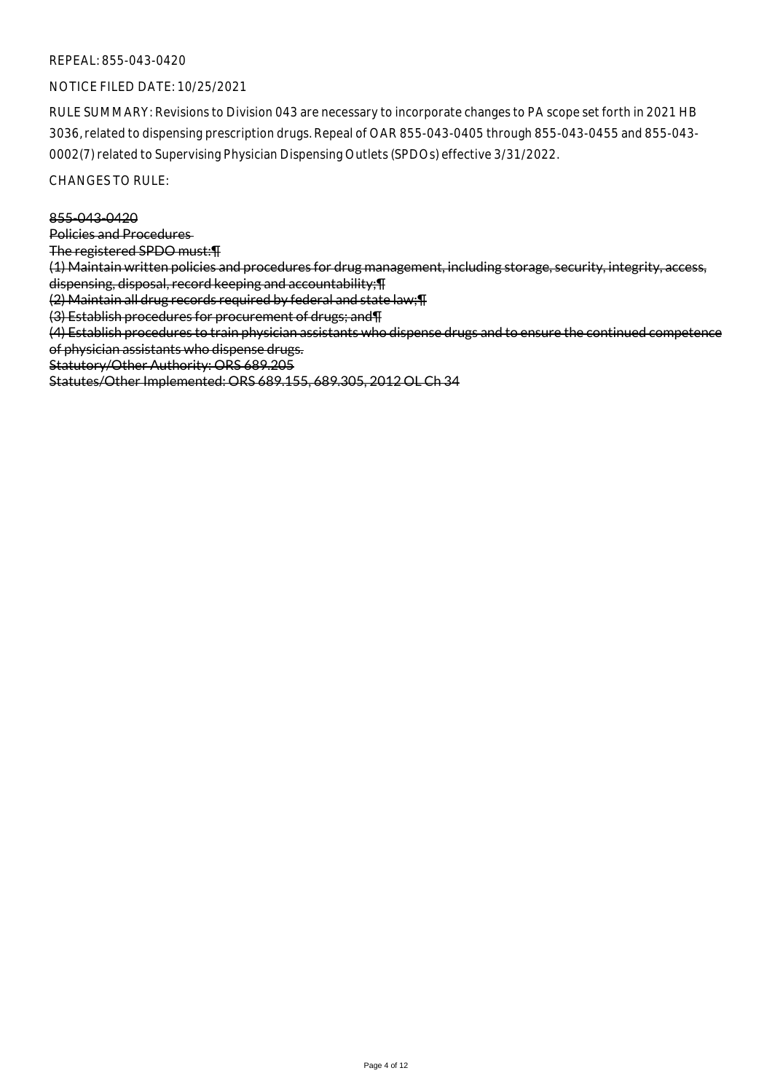## NOTICE FILED DATE: 10/25/2021

RULE SUMMARY: Revisions to Division 043 are necessary to incorporate changes to PA scope set forth in 2021 HB 3036, related to dispensing prescription drugs. Repeal of OAR 855-043-0405 through 855-043-0455 and 855-043- 0002(7) related to Supervising Physician Dispensing Outlets (SPDOs) effective 3/31/2022.

CHANGES TO RULE:

#### 855-043-0420

Policies and Procedures

The registered SPDO must:¶

(1) Maintain written policies and procedures for drug management, including storage, security, integrity, access, dispensing, disposal, record keeping and accountability;¶

(2) Maintain all drug records required by federal and state law;¶

(3) Establish procedures for procurement of drugs; and¶

(4) Establish procedures to train physician assistants who dispense drugs and to ensure the continued competence of physician assistants who dispense drugs.

Statutory/Other Authority: ORS 689.205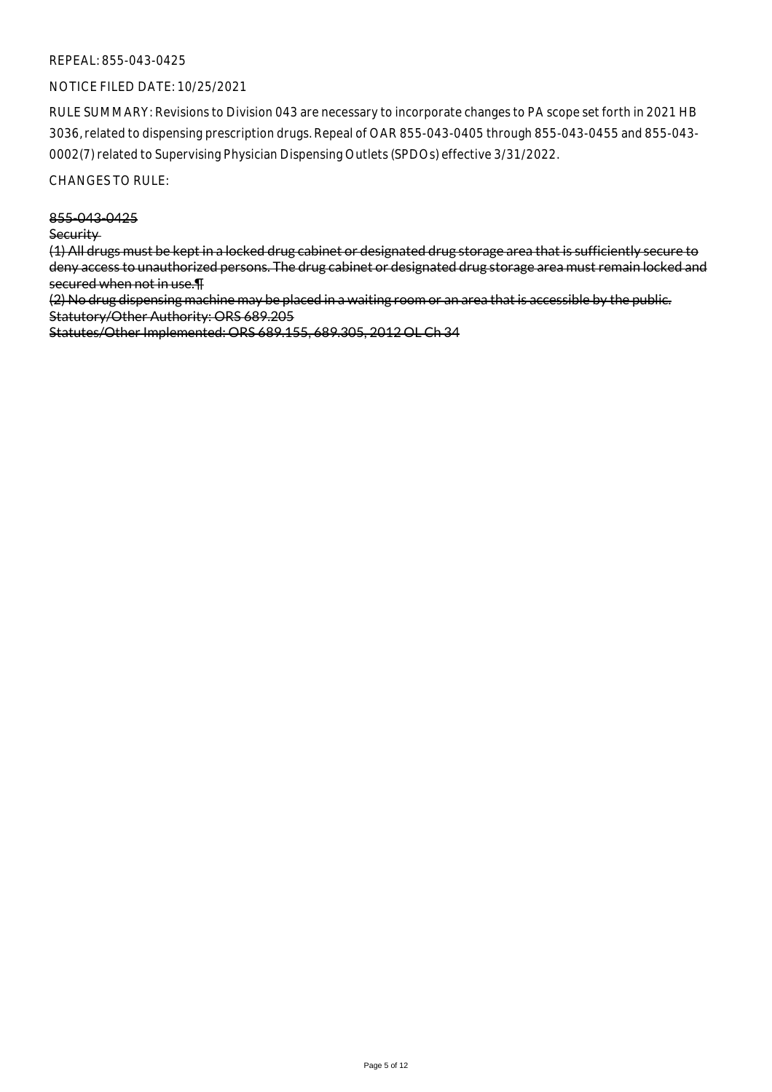## NOTICE FILED DATE: 10/25/2021

RULE SUMMARY: Revisions to Division 043 are necessary to incorporate changes to PA scope set forth in 2021 HB 3036, related to dispensing prescription drugs. Repeal of OAR 855-043-0405 through 855-043-0455 and 855-043- 0002(7) related to Supervising Physician Dispensing Outlets (SPDOs) effective 3/31/2022.

## CHANGES TO RULE:

855-043-0425

**Security** 

(1) All drugs must be kept in a locked drug cabinet or designated drug storage area that is sufficiently secure to deny access to unauthorized persons. The drug cabinet or designated drug storage area must remain locked and secured when not in use.¶

(2) No drug dispensing machine may be placed in a waiting room or an area that is accessible by the public. Statutory/Other Authority: ORS 689.205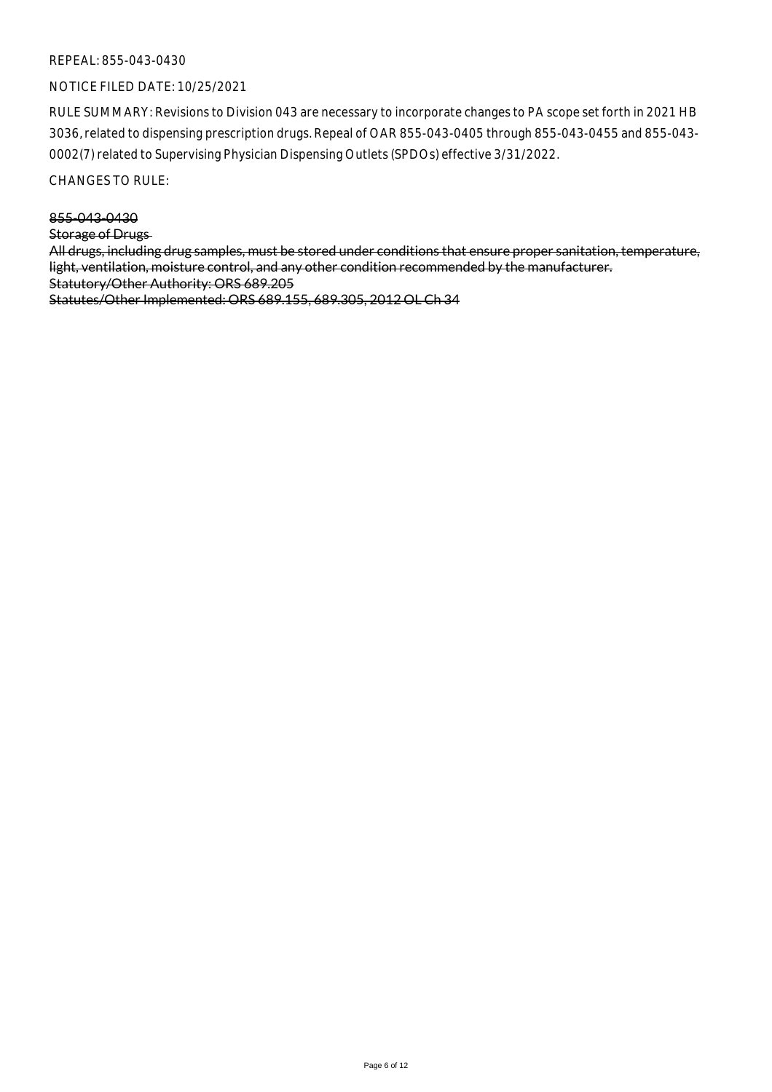## NOTICE FILED DATE: 10/25/2021

RULE SUMMARY: Revisions to Division 043 are necessary to incorporate changes to PA scope set forth in 2021 HB 3036, related to dispensing prescription drugs. Repeal of OAR 855-043-0405 through 855-043-0455 and 855-043- 0002(7) related to Supervising Physician Dispensing Outlets (SPDOs) effective 3/31/2022.

CHANGES TO RULE:

855-043-0430

Storage of Drugs

All drugs, including drug samples, must be stored under conditions that ensure proper sanitation, temperature, light, ventilation, moisture control, and any other condition recommended by the manufacturer. Statutory/Other Authority: ORS 689.205 Statutes/Other Implemented: ORS 689.155, 689.305, 2012 OL Ch 34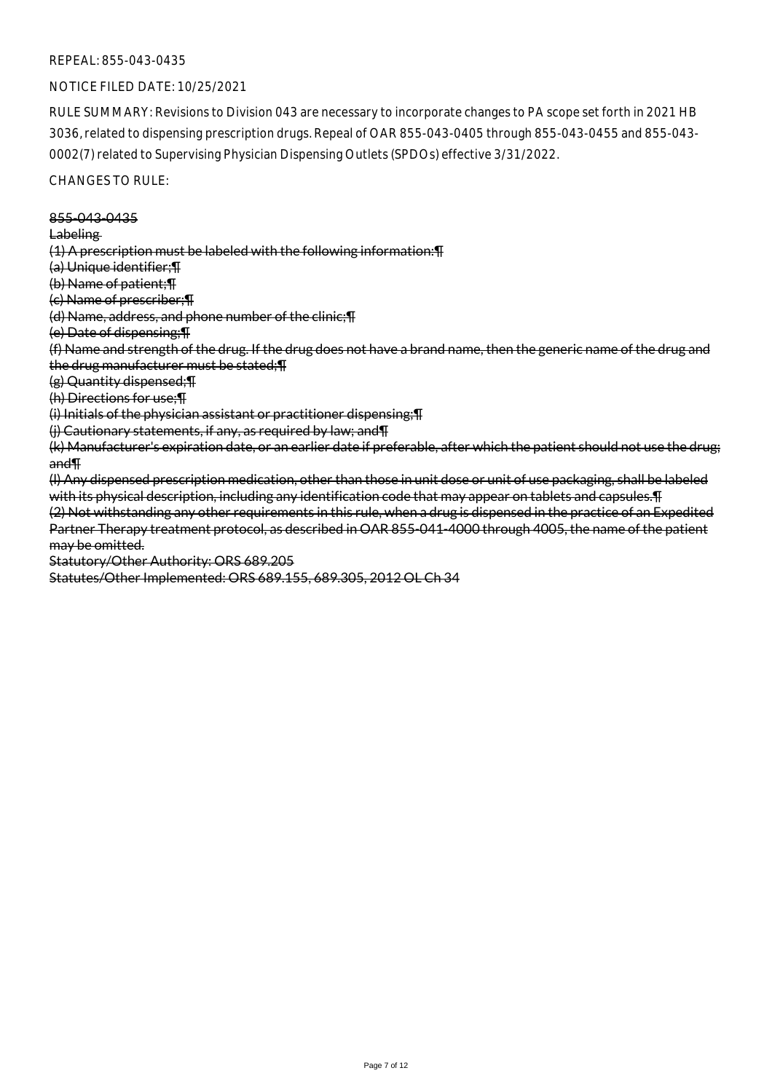#### NOTICE FILED DATE: 10/25/2021

RULE SUMMARY: Revisions to Division 043 are necessary to incorporate changes to PA scope set forth in 2021 HB 3036, related to dispensing prescription drugs. Repeal of OAR 855-043-0405 through 855-043-0455 and 855-043- 0002(7) related to Supervising Physician Dispensing Outlets (SPDOs) effective 3/31/2022.

## CHANGES TO RULE:

855-043-0435 **Labeling** (1) A prescription must be labeled with the following information:¶ (a) Unique identifier;¶ (b) Name of patient;¶ (c) Name of prescriber;¶ (d) Name, address, and phone number of the clinic;¶ (e) Date of dispensing;¶ (f) Name and strength of the drug. If the drug does not have a brand name, then the generic name of the drug and the drug manufacturer must be stated;¶ (g) Quantity dispensed;¶ (h) Directions for use;¶ (i) Initials of the physician assistant or practitioner dispensing;¶ (j) Cautionary statements, if any, as required by law; and¶ (k) Manufacturer's expiration date, or an earlier date if preferable, after which the patient should not use the drug; and¶ (l) Any dispensed prescription medication, other than those in unit dose or unit of use packaging, shall be labeled with its physical description, including any identification code that may appear on tablets and capsules.¶ (2) Not withstanding any other requirements in this rule, when a drug is dispensed in the practice of an Expedited Partner Therapy treatment protocol, as described in OAR 855-041-4000 through 4005, the name of the patient may be omitted. Statutory/Other Authority: ORS 689.205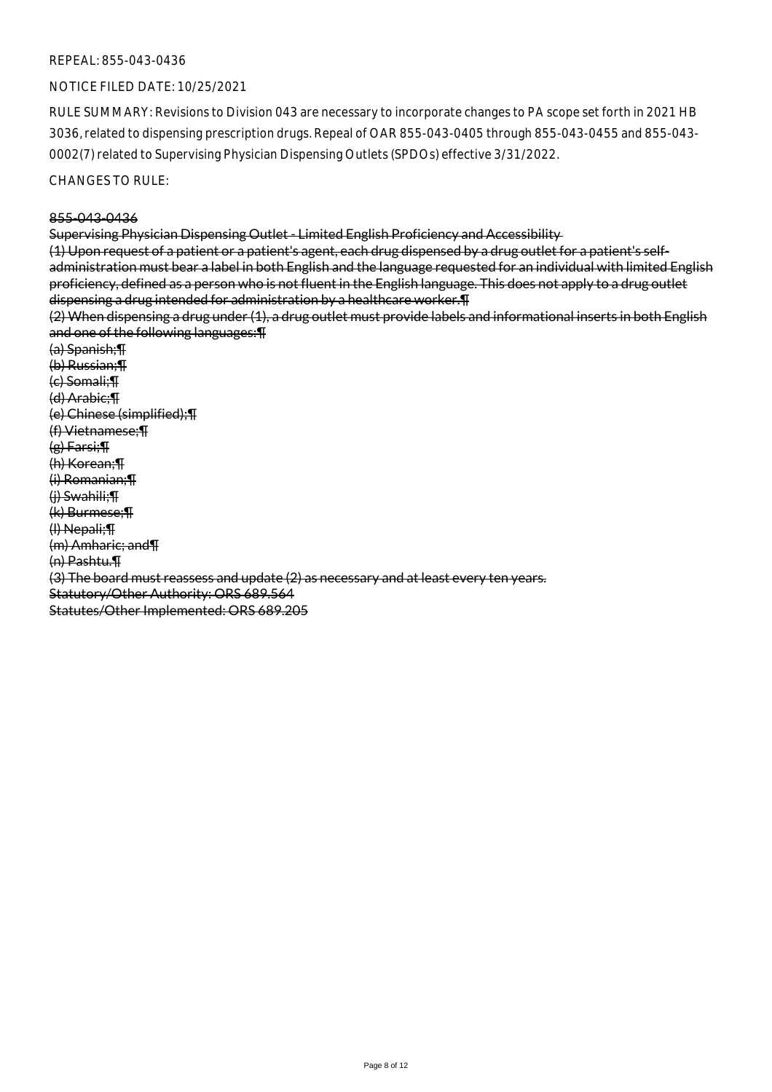#### NOTICE FILED DATE: 10/25/2021

RULE SUMMARY: Revisions to Division 043 are necessary to incorporate changes to PA scope set forth in 2021 HB 3036, related to dispensing prescription drugs. Repeal of OAR 855-043-0405 through 855-043-0455 and 855-043- 0002(7) related to Supervising Physician Dispensing Outlets (SPDOs) effective 3/31/2022.

CHANGES TO RULE:

#### 855-043-0436

Supervising Physician Dispensing Outlet - Limited English Proficiency and Accessibility

(1) Upon request of a patient or a patient's agent, each drug dispensed by a drug outlet for a patient's selfadministration must bear a label in both English and the language requested for an individual with limited English proficiency, defined as a person who is not fluent in the English language. This does not apply to a drug outlet dispensing a drug intended for administration by a healthcare worker.¶

(2) When dispensing a drug under (1), a drug outlet must provide labels and informational inserts in both English and one of the following languages:¶

(a) Spanish;¶ (b) Russian;¶ (c) Somali;¶ (d) Arabic;¶ (e) Chinese (simplified);¶ (f) Vietnamese;¶ (g) Farsi;¶ (h) Korean;¶ (i) Romanian;¶ (j) Swahili;¶ (k) Burmese;¶ (l) Nepali;¶ (m) Amharic; and¶ (n) Pashtu.¶ (3) The board must reassess and update (2) as necessary and at least every ten years. Statutory/Other Authority: ORS 689.564 Statutes/Other Implemented: ORS 689.205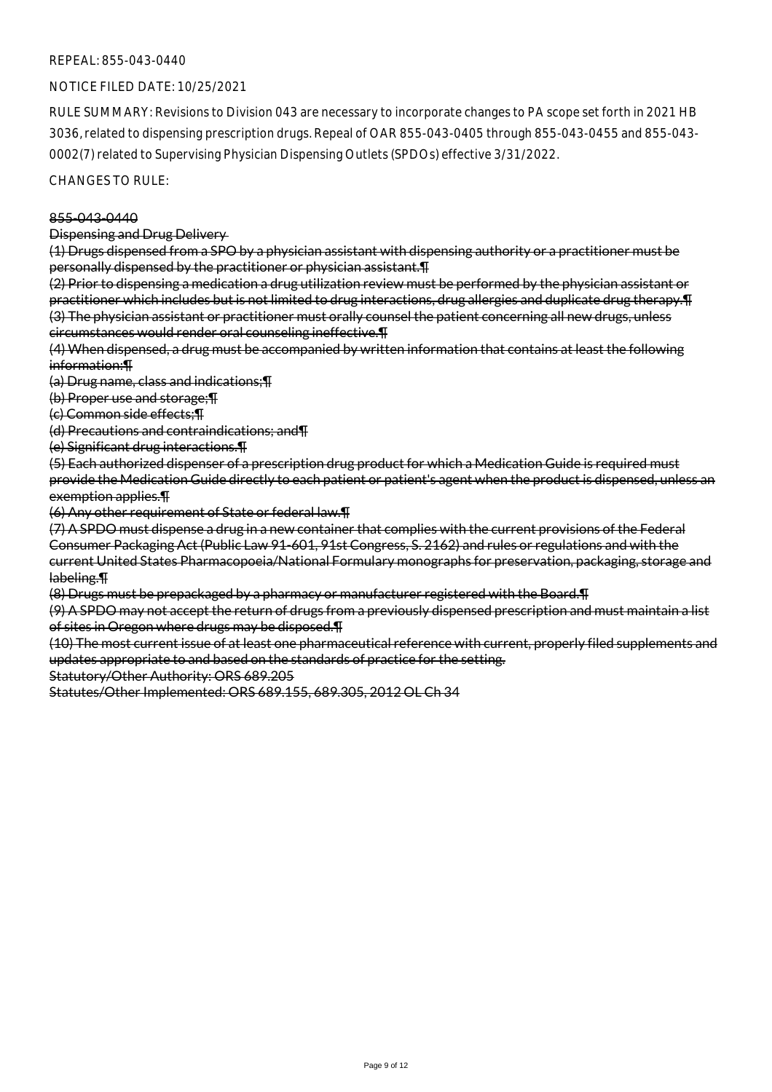## NOTICE FILED DATE: 10/25/2021

RULE SUMMARY: Revisions to Division 043 are necessary to incorporate changes to PA scope set forth in 2021 HB 3036, related to dispensing prescription drugs. Repeal of OAR 855-043-0405 through 855-043-0455 and 855-043- 0002(7) related to Supervising Physician Dispensing Outlets (SPDOs) effective 3/31/2022.

CHANGES TO RULE:

#### 855-043-0440

Dispensing and Drug Delivery

(1) Drugs dispensed from a SPO by a physician assistant with dispensing authority or a practitioner must be personally dispensed by the practitioner or physician assistant.¶

(2) Prior to dispensing a medication a drug utilization review must be performed by the physician assistant or practitioner which includes but is not limited to drug interactions, drug allergies and duplicate drug therapy.¶ (3) The physician assistant or practitioner must orally counsel the patient concerning all new drugs, unless circumstances would render oral counseling ineffective.¶

(4) When dispensed, a drug must be accompanied by written information that contains at least the following information:¶

(a) Drug name, class and indications;¶

(b) Proper use and storage;¶

(c) Common side effects;¶

(d) Precautions and contraindications; and¶

(e) Significant drug interactions.¶

(5) Each authorized dispenser of a prescription drug product for which a Medication Guide is required must provide the Medication Guide directly to each patient or patient's agent when the product is dispensed, unless an exemption applies.¶

(6) Any other requirement of State or federal law.¶

(7) A SPDO must dispense a drug in a new container that complies with the current provisions of the Federal Consumer Packaging Act (Public Law 91-601, 91st Congress, S. 2162) and rules or regulations and with the current United States Pharmacopoeia/National Formulary monographs for preservation, packaging, storage and labeling.¶

(8) Drugs must be prepackaged by a pharmacy or manufacturer registered with the Board.¶

(9) A SPDO may not accept the return of drugs from a previously dispensed prescription and must maintain a list of sites in Oregon where drugs may be disposed.¶

(10) The most current issue of at least one pharmaceutical reference with current, properly filed supplements and updates appropriate to and based on the standards of practice for the setting.

Statutory/Other Authority: ORS 689.205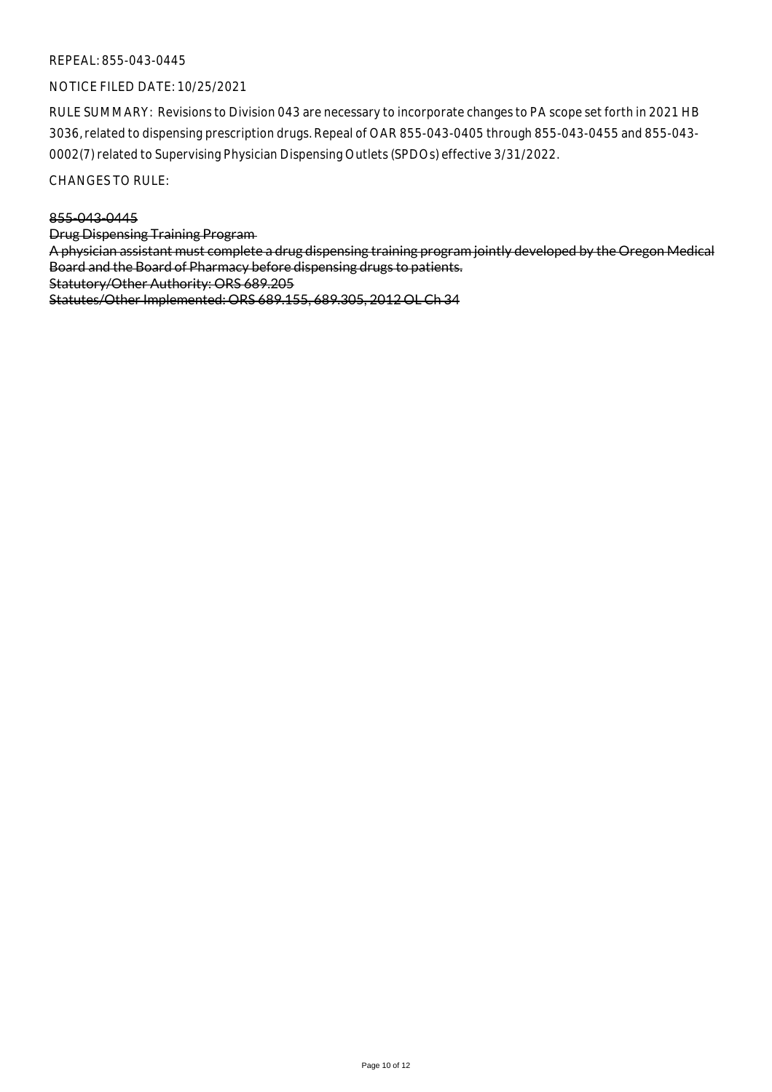## NOTICE FILED DATE: 10/25/2021

RULE SUMMARY: Revisions to Division 043 are necessary to incorporate changes to PA scope set forth in 2021 HB 3036, related to dispensing prescription drugs. Repeal of OAR 855-043-0405 through 855-043-0455 and 855-043- 0002(7) related to Supervising Physician Dispensing Outlets (SPDOs) effective 3/31/2022.

CHANGES TO RULE:

#### 855-043-0445

Drug Dispensing Training Program

A physician assistant must complete a drug dispensing training program jointly developed by the Oregon Medical Board and the Board of Pharmacy before dispensing drugs to patients.

Statutory/Other Authority: ORS 689.205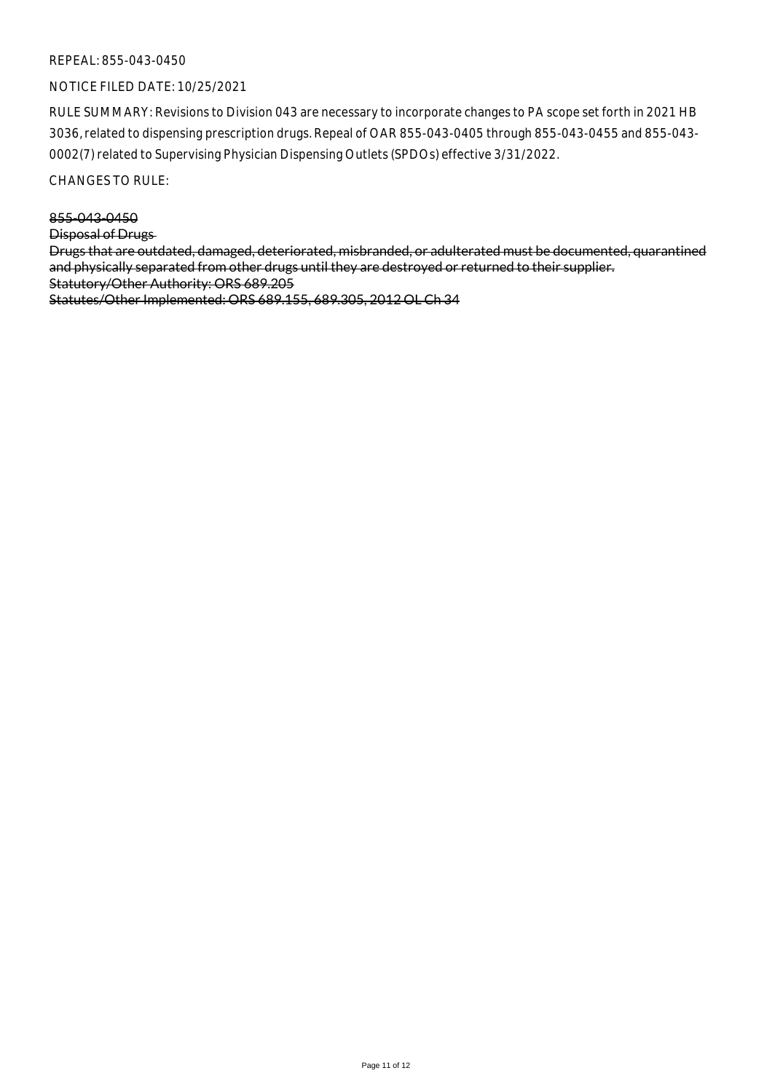## NOTICE FILED DATE: 10/25/2021

RULE SUMMARY: Revisions to Division 043 are necessary to incorporate changes to PA scope set forth in 2021 HB 3036, related to dispensing prescription drugs. Repeal of OAR 855-043-0405 through 855-043-0455 and 855-043- 0002(7) related to Supervising Physician Dispensing Outlets (SPDOs) effective 3/31/2022.

CHANGES TO RULE:

855-043-0450 Disposal of Drugs Drugs that are outdated, damaged, deteriorated, misbranded, or adulterated must be documented, quarantined and physically separated from other drugs until they are destroyed or returned to their supplier. Statutory/Other Authority: ORS 689.205 Statutes/Other Implemented: ORS 689.155, 689.305, 2012 OL Ch 34